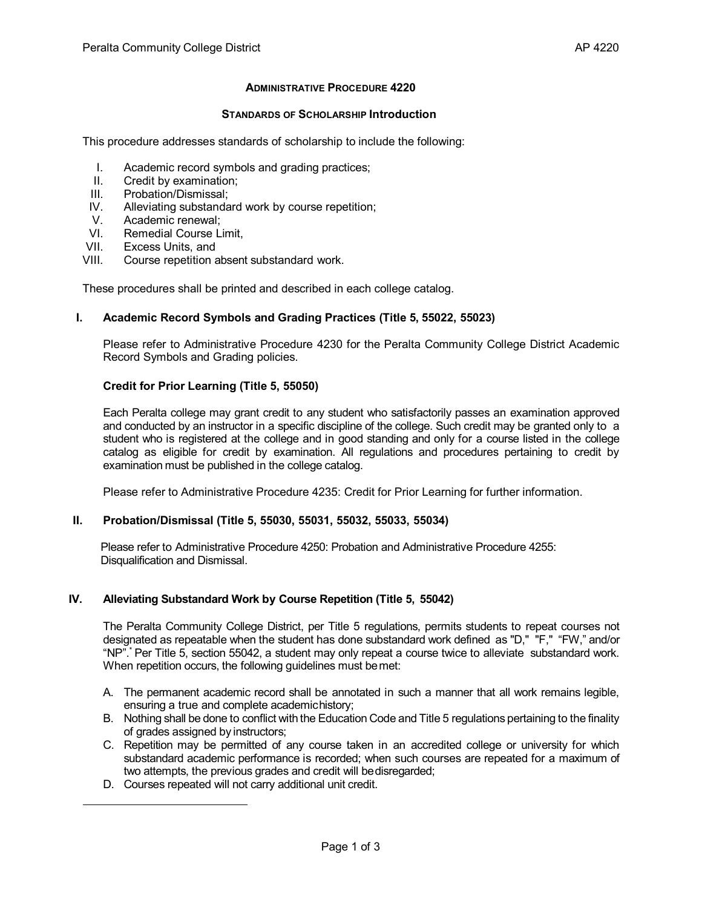# **ADMINISTRATIVE PROCEDURE 4220**

#### **STANDARDS OF SCHOLARSHIP Introduction**

<span id="page-0-0"></span>This procedure addresses standards of scholarship to include the following:

- I. Academic record symbols and grading practices;
- II. Credit by examination;
- III. Probation/Dismissal;<br>IV. Alleviating substanda
- Alleviating substandard work by course repetition;
- V. Academic renewal;<br>VI. Remedial Course L
- VI. Remedial Course Limit,<br>VII. Excess Units, and
- Excess Units, and
- VIII. Course repetition absent substandard work.

These procedures shall be printed and described in each college catalog.

# **I. Academic Record Symbols and Grading Practices (Title 5, 55022, 55023)**

Please refer to Administrative Procedure 4230 for the Peralta Community College District Academic Record Symbols and Grading policies.

# **Credit for Prior Learning (Title 5, 55050)**

Each Peralta college may grant credit to any student who satisfactorily passes an examination approved and conducted by an instructor in a specific discipline of the college. Such credit may be granted only to a student who is registered at the college and in good standing and only for a course listed in the college catalog as eligible for credit by examination. All regulations and procedures pertaining to credit by examination must be published in the college catalog.

Please refer to Administrative Procedure 4235: Credit for Prior Learning for further information.

#### **II. Probation/Dismissal (Title 5, 55030, 55031, 55032, 55033, 55034)**

Please refer to Administrative Procedure 4250: Probation and Administrative Procedure 4255: Disqualification and Dismissal.

# **IV. Alleviating Substandard Work by Course Repetition (Title 5, 55042)**

The Peralta Community College District, per Title 5 regulations, permits students to repeat courses not designated as repeatable when the student has done substandard work defined as "D," "F," "FW," and/or "NP"[.\\*](#page-0-0) Per Title 5, section 55042, a student may only repeat a course twice to alleviate substandard work. When repetition occurs, the following guidelines must bemet:

- A. The permanent academic record shall be annotated in such a manner that all work remains legible, ensuring a true and complete academichistory;
- B. Nothing shall be done to conflict with the Education Code and Title 5 regulations pertaining to the finality of grades assigned by instructors;
- C. Repetition may be permitted of any course taken in an accredited college or university for which substandard academic performance is recorded; when such courses are repeated for a maximum of two attempts, the previous grades and credit will be disregarded;
- D. Courses repeated will not carry additional unit credit.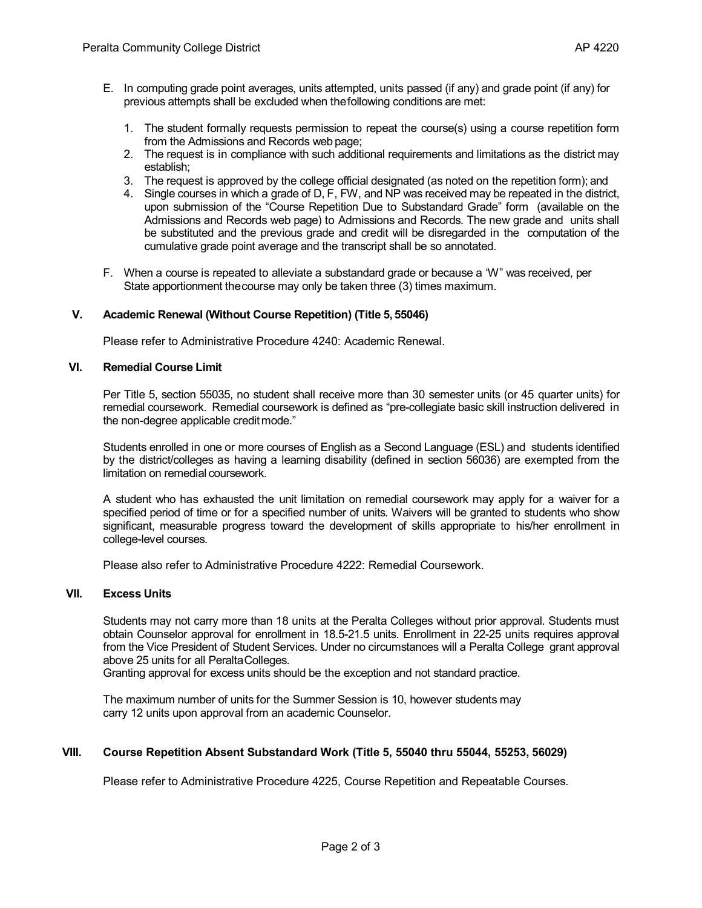- E. In computing grade point averages, units attempted, units passed (if any) and grade point (if any) for previous attempts shall be excluded when thefollowing conditions are met:
	- 1. The student formally requests permission to repeat the course(s) using a course repetition form from the Admissions and Records web page;
	- 2. The request is in compliance with such additional requirements and limitations as the district may establish;
	- 3. The request is approved by the college official designated (as noted on the repetition form); and
	- 4. Single courses in which a grade of D, F, FW, and NP was received may be repeated in the district, upon submission of the "Course Repetition Due to Substandard Grade" form (available on the Admissions and Records web page) to Admissions and Records. The new grade and units shall be substituted and the previous grade and credit will be disregarded in the computation of the cumulative grade point average and the transcript shall be so annotated.
- F. When a course is repeated to alleviate a substandard grade or because a 'W" was received, per State apportionment thecourse may only be taken three (3) times maximum.

# **V. Academic Renewal (Without Course Repetition) (Title 5, 55046)**

Please refer to Administrative Procedure 4240: Academic Renewal.

### **VI. Remedial Course Limit**

Per Title 5, section 55035, no student shall receive more than 30 semester units (or 45 quarter units) for remedial coursework. Remedial coursework is defined as "pre-collegiate basic skill instruction delivered in the non-degree applicable creditmode."

Students enrolled in one or more courses of English as a Second Language (ESL) and students identified by the district/colleges as having a learning disability (defined in section 56036) are exempted from the limitation on remedial coursework.

A student who has exhausted the unit limitation on remedial coursework may apply for a waiver for a specified period of time or for a specified number of units. Waivers will be granted to students who show significant, measurable progress toward the development of skills appropriate to his/her enrollment in college-level courses.

Please also refer to Administrative Procedure 4222: Remedial Coursework.

#### **VII. Excess Units**

Students may not carry more than 18 units at the Peralta Colleges without prior approval. Students must obtain Counselor approval for enrollment in 18.5-21.5 units. Enrollment in 22-25 units requires approval from the Vice President of Student Services. Under no circumstances will a Peralta College grant approval above 25 units for all PeraltaColleges.

Granting approval for excess units should be the exception and not standard practice.

The maximum number of units for the Summer Session is 10, however students may carry 12 units upon approval from an academic Counselor.

## **VIII. Course Repetition Absent Substandard Work (Title 5, 55040 thru 55044, 55253, 56029)**

Please refer to Administrative Procedure 4225, Course Repetition and Repeatable Courses.